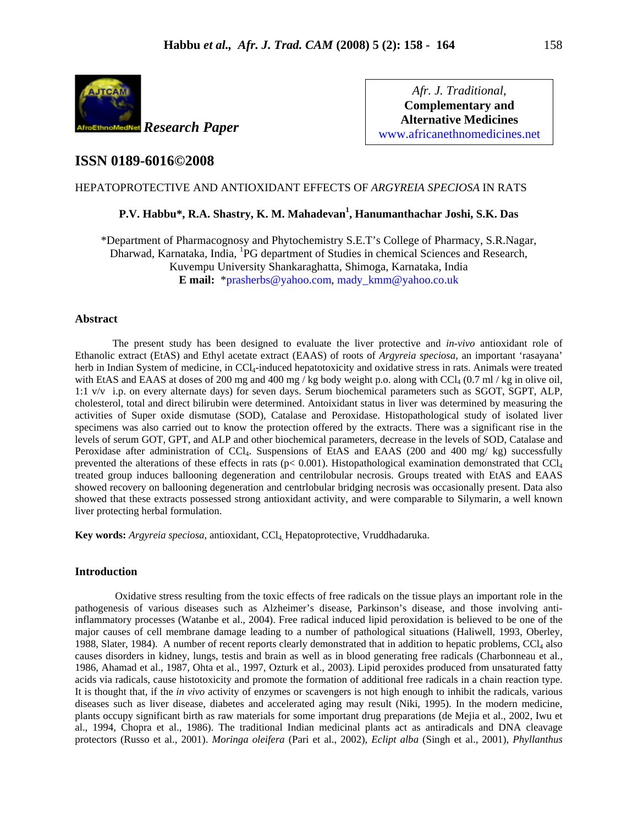

*Afr. J. Traditional*, **Complementary and Alternative Medicines**  www.africanethnomedicines.net

# **ISSN 0189-6016©2008**

# HEPATOPROTECTIVE AND ANTIOXIDANT EFFECTS OF *ARGYREIA SPECIOSA* IN RATS

# **P.V. Habbu\*, R.A. Shastry, K. M. Mahadevan<sup>1</sup> , Hanumanthachar Joshi, S.K. Das**

\*Department of Pharmacognosy and Phytochemistry S.E.T's College of Pharmacy, S.R.Nagar, Dharwad, Karnataka, India, <sup>1</sup>PG department of Studies in chemical Sciences and Research, Kuvempu University Shankaraghatta, Shimoga, Karnataka, India **E mail:** \*prasherbs@yahoo.com, mady\_kmm@yahoo.co.uk

## **Abstract**

The present study has been designed to evaluate the liver protective and *in-vivo* antioxidant role of Ethanolic extract (EtAS) and Ethyl acetate extract (EAAS) of roots of *Argyreia speciosa,* an important 'rasayana' herb in Indian System of medicine, in CCl<sub>4</sub>-induced hepatotoxicity and oxidative stress in rats. Animals were treated with EtAS and EAAS at doses of 200 mg and 400 mg / kg body weight p.o. along with CCl<sub>4</sub> (0.7 ml / kg in olive oil, 1:1 v/v i.p. on every alternate days) for seven days. Serum biochemical parameters such as SGOT, SGPT, ALP, cholesterol, total and direct bilirubin were determined. Antoixidant status in liver was determined by measuring the activities of Super oxide dismutase (SOD), Catalase and Peroxidase. Histopathological study of isolated liver specimens was also carried out to know the protection offered by the extracts. There was a significant rise in the levels of serum GOT, GPT, and ALP and other biochemical parameters, decrease in the levels of SOD, Catalase and Peroxidase after administration of CCl4. Suspensions of EtAS and EAAS (200 and 400 mg/ kg) successfully prevented the alterations of these effects in rats ( $p$ < 0.001). Histopathological examination demonstrated that  $CCl<sub>4</sub>$ treated group induces ballooning degeneration and centrilobular necrosis. Groups treated with EtAS and EAAS showed recovery on ballooning degeneration and centrlobular bridging necrosis was occasionally present. Data also showed that these extracts possessed strong antioxidant activity, and were comparable to Silymarin, a well known liver protecting herbal formulation.

**Key words:** *Argyreia speciosa,* antioxidant, CCl4, Hepatoprotective, Vruddhadaruka.

## **Introduction**

 Oxidative stress resulting from the toxic effects of free radicals on the tissue plays an important role in the pathogenesis of various diseases such as Alzheimer's disease, Parkinson's disease, and those involving antiinflammatory processes (Watanbe et al., 2004). Free radical induced lipid peroxidation is believed to be one of the major causes of cell membrane damage leading to a number of pathological situations (Haliwell, 1993, Oberley, 1988, Slater, 1984). A number of recent reports clearly demonstrated that in addition to hepatic problems, CCl<sub>4</sub> also causes disorders in kidney, lungs, testis and brain as well as in blood generating free radicals (Charbonneau et al., 1986, Ahamad et al., 1987, Ohta et al., 1997, Ozturk et al., 2003). Lipid peroxides produced from unsaturated fatty acids via radicals, cause histotoxicity and promote the formation of additional free radicals in a chain reaction type. It is thought that, if the *in vivo* activity of enzymes or scavengers is not high enough to inhibit the radicals, various diseases such as liver disease, diabetes and accelerated aging may result (Niki, 1995). In the modern medicine, plants occupy significant birth as raw materials for some important drug preparations (de Mejia et al., 2002, Iwu et al., 1994, Chopra et al., 1986). The traditional Indian medicinal plants act as antiradicals and DNA cleavage protectors (Russo et al., 2001). *Moringa oleifera* (Pari et al., 2002), *Eclipt alba* (Singh et al., 2001), *Phyllanthus*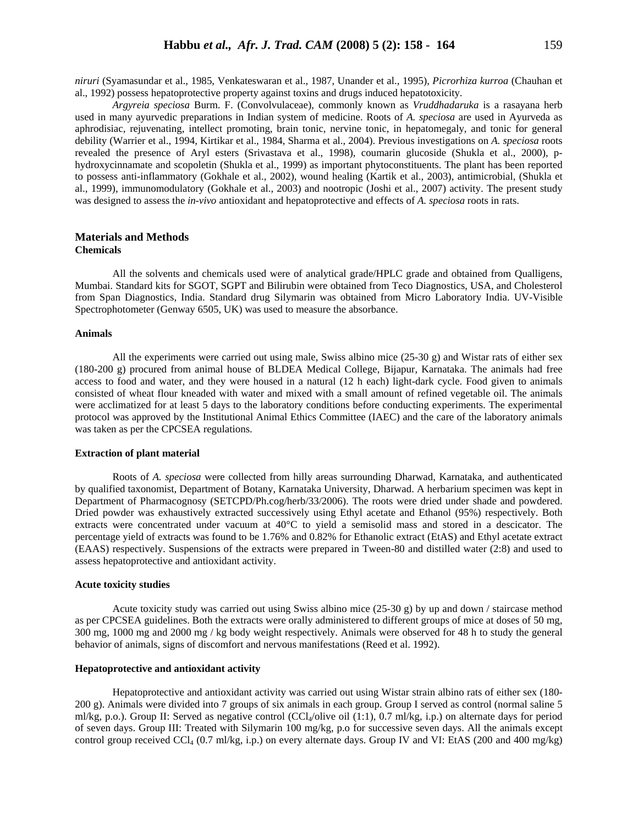*niruri* (Syamasundar et al., 1985, Venkateswaran et al., 1987, Unander et al., 1995), *Picrorhiza kurroa* (Chauhan et al., 1992) possess hepatoprotective property against toxins and drugs induced hepatotoxicity.

*Argyreia speciosa* Burm. F. (Convolvulaceae), commonly known as *Vruddhadaruka* is a rasayana herb used in many ayurvedic preparations in Indian system of medicine. Roots of *A. speciosa* are used in Ayurveda as aphrodisiac, rejuvenating, intellect promoting, brain tonic, nervine tonic, in hepatomegaly, and tonic for general debility (Warrier et al., 1994, Kirtikar et al., 1984, Sharma et al., 2004). Previous investigations on *A. speciosa* roots revealed the presence of Aryl esters (Srivastava et al., 1998), coumarin glucoside (Shukla et al., 2000), phydroxycinnamate and scopoletin (Shukla et al., 1999) as important phytoconstituents. The plant has been reported to possess anti-inflammatory (Gokhale et al., 2002), wound healing (Kartik et al., 2003), antimicrobial, (Shukla et al., 1999), immunomodulatory (Gokhale et al., 2003) and nootropic (Joshi et al., 2007) activity. The present study was designed to assess the *in-vivo* antioxidant and hepatoprotective and effects of *A. speciosa* roots in rats.

# **Materials and Methods Chemicals**

All the solvents and chemicals used were of analytical grade/HPLC grade and obtained from Qualligens, Mumbai. Standard kits for SGOT, SGPT and Bilirubin were obtained from Teco Diagnostics, USA, and Cholesterol from Span Diagnostics, India. Standard drug Silymarin was obtained from Micro Laboratory India. UV-Visible Spectrophotometer (Genway 6505, UK) was used to measure the absorbance.

#### **Animals**

All the experiments were carried out using male, Swiss albino mice (25-30 g) and Wistar rats of either sex (180-200 g) procured from animal house of BLDEA Medical College, Bijapur, Karnataka. The animals had free access to food and water, and they were housed in a natural (12 h each) light-dark cycle. Food given to animals consisted of wheat flour kneaded with water and mixed with a small amount of refined vegetable oil. The animals were acclimatized for at least 5 days to the laboratory conditions before conducting experiments. The experimental protocol was approved by the Institutional Animal Ethics Committee (IAEC) and the care of the laboratory animals was taken as per the CPCSEA regulations.

#### **Extraction of plant material**

Roots of *A. speciosa* were collected from hilly areas surrounding Dharwad, Karnataka, and authenticated by qualified taxonomist, Department of Botany, Karnataka University, Dharwad. A herbarium specimen was kept in Department of Pharmacognosy (SETCPD/Ph.cog/herb/33/2006). The roots were dried under shade and powdered. Dried powder was exhaustively extracted successively using Ethyl acetate and Ethanol (95%) respectively. Both extracts were concentrated under vacuum at 40°C to yield a semisolid mass and stored in a descicator. The percentage yield of extracts was found to be 1.76% and 0.82% for Ethanolic extract (EtAS) and Ethyl acetate extract (EAAS) respectively. Suspensions of the extracts were prepared in Tween-80 and distilled water (2:8) and used to assess hepatoprotective and antioxidant activity.

#### **Acute toxicity studies**

Acute toxicity study was carried out using Swiss albino mice  $(25-30 g)$  by up and down / staircase method as per CPCSEA guidelines. Both the extracts were orally administered to different groups of mice at doses of 50 mg, 300 mg, 1000 mg and 2000 mg / kg body weight respectively. Animals were observed for 48 h to study the general behavior of animals, signs of discomfort and nervous manifestations (Reed et al. 1992).

### **Hepatoprotective and antioxidant activity**

Hepatoprotective and antioxidant activity was carried out using Wistar strain albino rats of either sex (180- 200 g). Animals were divided into 7 groups of six animals in each group. Group I served as control (normal saline 5 ml/kg, p.o.). Group II: Served as negative control (CCl<sub>4</sub>/olive oil (1:1), 0.7 ml/kg, i.p.) on alternate days for period of seven days. Group III: Treated with Silymarin 100 mg/kg, p.o for successive seven days. All the animals except control group received CCl<sub>4</sub> (0.7 ml/kg, i.p.) on every alternate days. Group IV and VI: EtAS (200 and 400 mg/kg)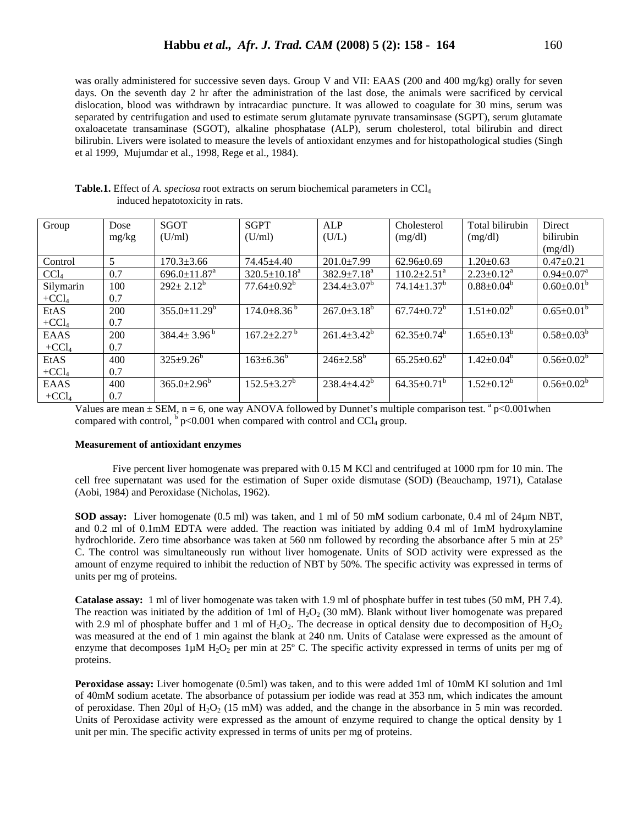was orally administered for successive seven days. Group V and VII: EAAS (200 and 400 mg/kg) orally for seven days. On the seventh day 2 hr after the administration of the last dose, the animals were sacrificed by cervical dislocation, blood was withdrawn by intracardiac puncture. It was allowed to coagulate for 30 mins, serum was separated by centrifugation and used to estimate serum glutamate pyruvate transaminsase (SGPT), serum glutamate oxaloacetate transaminase (SGOT), alkaline phosphatase (ALP), serum cholesterol, total bilirubin and direct bilirubin. Livers were isolated to measure the levels of antioxidant enzymes and for histopathological studies (Singh et al 1999, Mujumdar et al., 1998, Rege et al., 1984).

| Group            | Dose  | <b>SGOT</b>                    | <b>SGPT</b>                   | <b>ALP</b>             | Cholesterol                   | Total bilirubin                | Direct                     |
|------------------|-------|--------------------------------|-------------------------------|------------------------|-------------------------------|--------------------------------|----------------------------|
|                  | mg/kg | (U/ml)                         | (U/ml)                        | (U/L)                  | (mg/dl)                       | (mg/dl)                        | bilirubin                  |
|                  |       |                                |                               |                        |                               |                                | (mg/dl)                    |
| Control          | 5     | $170.3 \pm 3.66$               | 74.45±4.40                    | $201.0 \pm 7.99$       | $62.96 \pm 0.69$              | $1.20 \pm 0.63$                | $0.47 + 0.21$              |
| CCl <sub>4</sub> | 0.7   | $696.0 \pm 11.87$ <sup>a</sup> | $320.5 \pm 10.18^a$           | $382.9 \pm 7.18^a$     | $110.2 \pm 2.51$ <sup>a</sup> | $2.23 \pm 0.12^a$              | $0.94 \pm 0.07^{\text{a}}$ |
| Silymarin        | 100   | $292 \pm 2.12^b$               | $77.64 \pm 0.92^b$            | $234.4 \pm 3.07^b$     | $74.14 \pm 1.37$ <sup>b</sup> | $0.88 \pm 0.04^b$              | $0.60 \pm 0.01^b$          |
| $+CCl4$          | 0.7   |                                |                               |                        |                               |                                |                            |
| EtAS             | 200   | $355.0 \pm 11.29^b$            | $174.0 \pm 8.36^{\mathrm{b}}$ | $267.0 \pm 3.18^b$     | $67.74 \pm 0.72^b$            | $1.51 \pm 0.02^{\overline{b}}$ | $0.65 \pm 0.01^b$          |
| $+CCl4$          | 0.7   |                                |                               |                        |                               |                                |                            |
| EAAS             | 200   | $384.4 \pm 3.96^{\mathrm{b}}$  | $167.2 \pm 2.27$ <sup>b</sup> | $261.4 \pm 3.42^b$     | $62.35 \pm 0.74^b$            | $1.65 \pm 0.13^b$              | $0.58 \pm 0.03^b$          |
| $+CCl4$          | 0.7   |                                |                               |                        |                               |                                |                            |
| EtAS             | 400   | $325 \pm 9.26^b$               | $163 \pm 6.36^b$              | $246 \pm 2.58^{\circ}$ | $65.25 \pm 0.62^b$            | $1.42 \pm 0.04^b$              | $0.56 \pm 0.02^b$          |
| $+CCl4$          | 0.7   |                                |                               |                        |                               |                                |                            |
| EAAS             | 400   | $365.0 \pm 2.96^{\circ}$       | $152.5 + 3.27^b$              | $238.4 \pm 4.42^b$     | $64.35 \pm 0.71^b$            | $1.52 \pm 0.12^b$              | $0.56 \pm 0.02^b$          |
| $+CCl4$          | 0.7   |                                |                               |                        |                               |                                |                            |

**Table.1.** Effect of *A. speciosa* root extracts on serum biochemical parameters in CCl4 induced hepatotoxicity in rats.

Values are mean  $\pm$  SEM, n = 6, one way ANOVA followed by Dunnet's multiple comparison test.  $a$  p<0.001 when compared with control,  $\frac{b}{p}$   $\leq$  0.001 when compared with control and CCl<sub>4</sub> group.

## **Measurement of antioxidant enzymes**

Five percent liver homogenate was prepared with 0.15 M KCl and centrifuged at 1000 rpm for 10 min. The cell free supernatant was used for the estimation of Super oxide dismutase (SOD) (Beauchamp, 1971), Catalase (Aobi, 1984) and Peroxidase (Nicholas, 1962).

**SOD assay:** Liver homogenate (0.5 ml) was taken, and 1 ml of 50 mM sodium carbonate, 0.4 ml of 24µm NBT, and 0.2 ml of 0.1mM EDTA were added. The reaction was initiated by adding 0.4 ml of 1mM hydroxylamine hydrochloride. Zero time absorbance was taken at 560 nm followed by recording the absorbance after 5 min at 25° C. The control was simultaneously run without liver homogenate. Units of SOD activity were expressed as the amount of enzyme required to inhibit the reduction of NBT by 50%. The specific activity was expressed in terms of units per mg of proteins.

**Catalase assay:** 1 ml of liver homogenate was taken with 1.9 ml of phosphate buffer in test tubes (50 mM, PH 7.4). The reaction was initiated by the addition of 1ml of  $H_2O_2$  (30 mM). Blank without liver homogenate was prepared with 2.9 ml of phosphate buffer and 1 ml of  $H_2O_2$ . The decrease in optical density due to decomposition of  $H_2O_2$ was measured at the end of 1 min against the blank at 240 nm. Units of Catalase were expressed as the amount of enzyme that decomposes  $1\mu$ M H<sub>2</sub>O<sub>2</sub> per min at 25<sup>o</sup> C. The specific activity expressed in terms of units per mg of proteins.

**Peroxidase assay:** Liver homogenate (0.5ml) was taken, and to this were added 1ml of 10mM KI solution and 1ml of 40mM sodium acetate. The absorbance of potassium per iodide was read at 353 nm, which indicates the amount of peroxidase. Then 20µl of  $H_2O_2$  (15 mM) was added, and the change in the absorbance in 5 min was recorded. Units of Peroxidase activity were expressed as the amount of enzyme required to change the optical density by 1 unit per min. The specific activity expressed in terms of units per mg of proteins.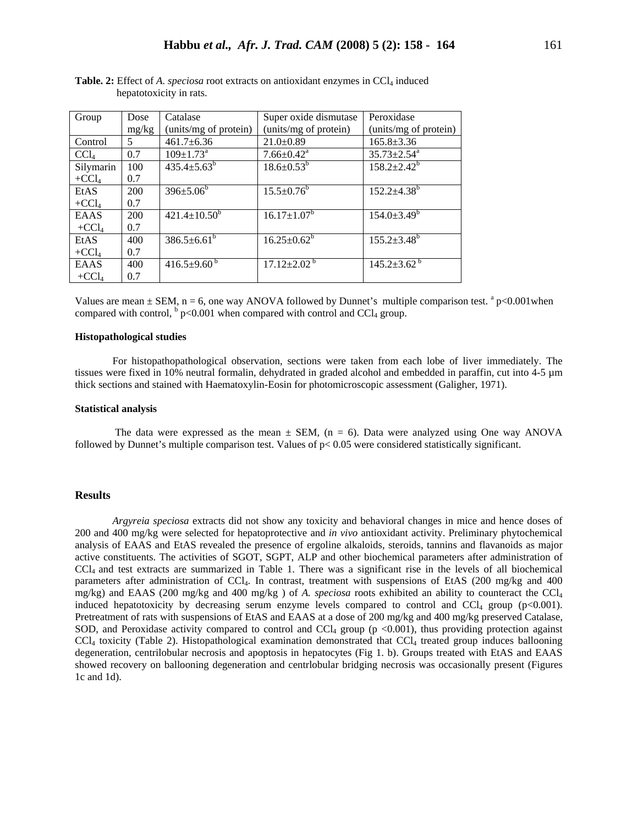| Group            | Dose  | Catalase                      | Super oxide dismutase         | Peroxidase                    |
|------------------|-------|-------------------------------|-------------------------------|-------------------------------|
|                  | mg/kg | (units/mg of protein)         | (units/mg of protein)         | (units/mg of protein)         |
| Control          | 5     | $461.7 \pm 6.36$              | $21.0 \pm 0.89$               | $165.8 \pm 3.36$              |
| CCl <sub>4</sub> | 0.7   | $109 \pm 1.73$ <sup>a</sup>   | $7.66 \pm 0.42^{\text{a}}$    | $35.73 \pm 2.54^a$            |
| Silymarin        | 100   | $435.4 \pm 5.63^b$            | $18.6 \pm 0.53^{\rm b}$       | $158.2 \pm 2.42^b$            |
| $+CCl4$          | 0.7   |                               |                               |                               |
| EtAS             | 200   | $396 \pm 5.06^b$              | $15.5 \pm 0.76^b$             | $152.2{\pm}4.38^b$            |
| $+CCl4$          | 0.7   |                               |                               |                               |
| EAAS             | 200   | $421.4 \pm 10.50^b$           | $16.17 \pm 1.07^b$            | $154.0 \pm 3.49^b$            |
| $+CCl4$          | 0.7   |                               |                               |                               |
| EtAS             | 400   | $386.5 \pm 6.61^b$            | $16.25 \pm 0.62^b$            | $155.2 \pm 3.48^b$            |
| $+CCl4$          | 0.7   |                               |                               |                               |
| EAAS             | 400   | 416.5 $\pm$ 9.60 <sup>b</sup> | $17.12 \pm 2.02^{\mathrm{b}}$ | $145.2 \pm 3.62^{\mathrm{b}}$ |
| $+CCl4$          | 0.7   |                               |                               |                               |

Table. 2: Effect of *A. speciosa* root extracts on antioxidant enzymes in CCl<sub>4</sub> induced hepatotoxicity in rats.

Values are mean  $\pm$  SEM, n = 6, one way ANOVA followed by Dunnet's multiple comparison test.  $a$  p<0.001 when compared with control,  $\frac{b}{p}$   $\leq$  0.001 when compared with control and CCl<sub>4</sub> group.

# **Histopathological studies**

For histopathopathological observation, sections were taken from each lobe of liver immediately. The tissues were fixed in 10% neutral formalin, dehydrated in graded alcohol and embedded in paraffin, cut into 4-5 µm thick sections and stained with Haematoxylin-Eosin for photomicroscopic assessment (Galigher, 1971).

#### **Statistical analysis**

The data were expressed as the mean  $\pm$  SEM, (n = 6). Data were analyzed using One way ANOVA followed by Dunnet's multiple comparison test. Values of p< 0.05 were considered statistically significant.

## **Results**

*Argyreia speciosa* extracts did not show any toxicity and behavioral changes in mice and hence doses of 200 and 400 mg/kg were selected for hepatoprotective and *in vivo* antioxidant activity. Preliminary phytochemical analysis of EAAS and EtAS revealed the presence of ergoline alkaloids, steroids, tannins and flavanoids as major active constituents. The activities of SGOT, SGPT, ALP and other biochemical parameters after administration of CCl4 and test extracts are summarized in Table 1. There was a significant rise in the levels of all biochemical parameters after administration of CCl4. In contrast, treatment with suspensions of EtAS (200 mg/kg and 400 mg/kg) and EAAS (200 mg/kg and 400 mg/kg ) of *A. speciosa* roots exhibited an ability to counteract the CCl4 induced hepatotoxicity by decreasing serum enzyme levels compared to control and CCl<sub>4</sub> group ( $p$ <0.001). Pretreatment of rats with suspensions of EtAS and EAAS at a dose of 200 mg/kg and 400 mg/kg preserved Catalase, SOD, and Peroxidase activity compared to control and CCl<sub>4</sub> group ( $p$  <0.001), thus providing protection against  $CCl<sub>4</sub>$  toxicity (Table 2). Histopathological examination demonstrated that  $CCl<sub>4</sub>$  treated group induces ballooning degeneration, centrilobular necrosis and apoptosis in hepatocytes (Fig 1. b). Groups treated with EtAS and EAAS showed recovery on ballooning degeneration and centrlobular bridging necrosis was occasionally present (Figures 1c and 1d).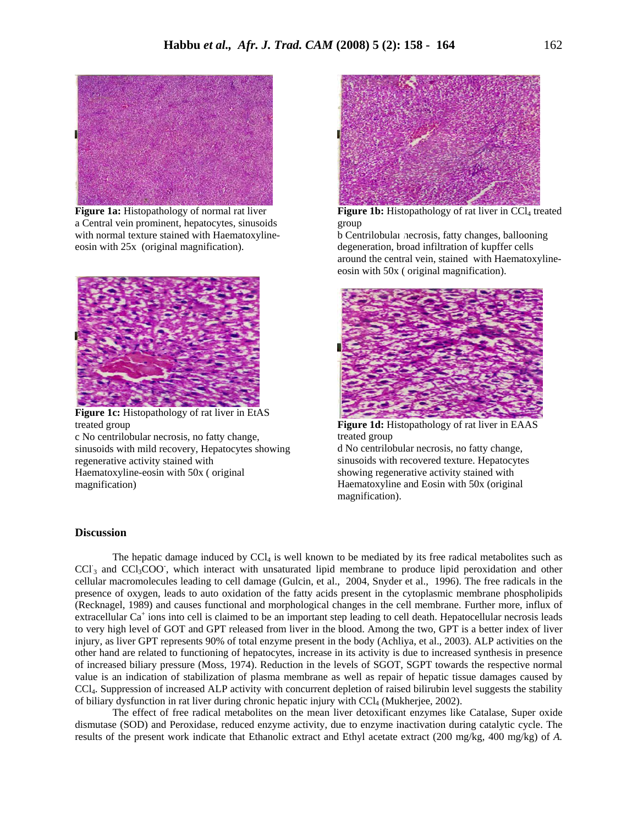

**Figure 1a:** Histopathology of normal rat liver a Central vein prominent, hepatocytes, sinusoids with normal texture stained with Haematoxylineeosin with 25x (original magnification).



Figure 1c: Histopathology of rat liver in EtAS treated group

c No centrilobular necrosis, no fatty change, sinusoids with mild recovery, Hepatocytes showing regenerative activity stained with Haematoxyline-eosin with 50x ( original magnification)



**Figure 1b:** Histopathology of rat liver in CCl<sub>4</sub> treated group

b Centrilobular necrosis, fatty changes, ballooning bdegeneration, broad infiltration of kupffer cells around the central vein, stained with Haematoxylineeosin with 50x ( original magnification).



**Figure 1d:** Histopathology of rat liver in EAAS treated group

d No centrilobular necrosis, no fatty change, sinusoids with recovered texture. Hepatocytes showing regenerative activity stained with Haematoxyline and Eosin with 50x (original magnification).

## **Discussion**

The hepatic damage induced by  $CCl_4$  is well known to be mediated by its free radical metabolites such as CCI<sub>3</sub> and CCI<sub>3</sub>COO, which interact with unsaturated lipid membrane to produce lipid peroxidation and other cellular macromolecules leading to cell damage (Gulcin, et al., 2004, Snyder et al., 1996). The free radicals in the presence of oxygen, leads to auto oxidation of the fatty acids present in the cytoplasmic membrane phospholipids (Recknagel, 1989) and causes functional and morphological changes in the cell membrane. Further more, influx of extracellular Ca<sup>+</sup> ions into cell is claimed to be an important step leading to cell death. Hepatocellular necrosis leads to very high level of GOT and GPT released from liver in the blood. Among the two, GPT is a better index of liver injury, as liver GPT represents 90% of total enzyme present in the body (Achliya, et al., 2003). ALP activities on the other hand are related to functioning of hepatocytes, increase in its activity is due to increased synthesis in presence of increased biliary pressure (Moss, 1974). Reduction in the levels of SGOT, SGPT towards the respective normal value is an indication of stabilization of plasma membrane as well as repair of hepatic tissue damages caused by CCl4. Suppression of increased ALP activity with concurrent depletion of raised bilirubin level suggests the stability of biliary dysfunction in rat liver during chronic hepatic injury with  $\text{CCl}_4$  (Mukherjee, 2002).

The effect of free radical metabolites on the mean liver detoxificant enzymes like Catalase, Super oxide dismutase (SOD) and Peroxidase, reduced enzyme activity, due to enzyme inactivation during catalytic cycle. The results of the present work indicate that Ethanolic extract and Ethyl acetate extract (200 mg/kg, 400 mg/kg) of *A.*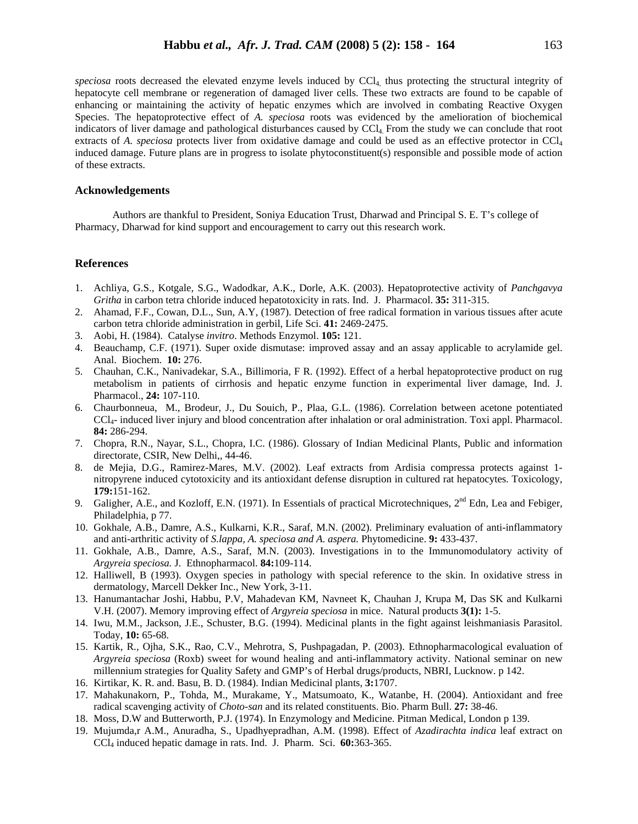*speciosa* roots decreased the elevated enzyme levels induced by CCl4, thus protecting the structural integrity of hepatocyte cell membrane or regeneration of damaged liver cells. These two extracts are found to be capable of enhancing or maintaining the activity of hepatic enzymes which are involved in combating Reactive Oxygen Species. The hepatoprotective effect of *A. speciosa* roots was evidenced by the amelioration of biochemical indicators of liver damage and pathological disturbances caused by CCl<sub>4</sub>. From the study we can conclude that root extracts of *A. speciosa* protects liver from oxidative damage and could be used as an effective protector in CCl4 induced damage. Future plans are in progress to isolate phytoconstituent(s) responsible and possible mode of action of these extracts.

# **Acknowledgements**

Authors are thankful to President, Soniya Education Trust, Dharwad and Principal S. E. T's college of Pharmacy, Dharwad for kind support and encouragement to carry out this research work.

## **References**

- 1. Achliya, G.S., Kotgale, S.G., Wadodkar, A.K., Dorle, A.K. (2003). Hepatoprotective activity of *Panchgavya Gritha* in carbon tetra chloride induced hepatotoxicity in rats. Ind. J. Pharmacol. **35:** 311-315.
- 2. Ahamad, F.F., Cowan, D.L., Sun, A.Y, (1987). Detection of free radical formation in various tissues after acute carbon tetra chloride administration in gerbil, Life Sci. **41:** 2469-2475.
- 3. Aobi, H. (1984). Catalyse *invitro*. Methods Enzymol. **105:** 121.
- 4. Beauchamp, C.F. (1971). Super oxide dismutase: improved assay and an assay applicable to acrylamide gel. Anal. Biochem. **10:** 276.
- 5. Chauhan, C.K., Nanivadekar, S.A., Billimoria, F R. (1992). Effect of a herbal hepatoprotective product on rug metabolism in patients of cirrhosis and hepatic enzyme function in experimental liver damage, Ind. J. Pharmacol., **24:** 107-110.
- 6. Chaurbonneua, M., Brodeur, J., Du Souich, P., Plaa, G.L. (1986). Correlation between acetone potentiated CCl4- induced liver injury and blood concentration after inhalation or oral administration. Toxi appl. Pharmacol. **84:** 286-294.
- 7. Chopra, R.N., Nayar, S.L., Chopra, I.C. (1986). Glossary of Indian Medicinal Plants, Public and information directorate, CSIR, New Delhi,, 44-46.
- 8. de Mejia, D.G., Ramirez-Mares, M.V. (2002). Leaf extracts from Ardisia compressa protects against 1 nitropyrene induced cytotoxicity and its antioxidant defense disruption in cultured rat hepatocytes. Toxicology, **179:**151-162.
- 9. Galigher, A.E., and Kozloff, E.N. (1971). In Essentials of practical Microtechniques,  $2^{nd}$  Edn, Lea and Febiger, Philadelphia, p 77.
- 10. Gokhale, A.B., Damre, A.S., Kulkarni, K.R., Saraf, M.N. (2002). Preliminary evaluation of anti-inflammatory and anti-arthritic activity of *S.lappa, A. speciosa and A. aspera.* Phytomedicine. **9:** 433-437.
- 11. Gokhale, A.B., Damre, A.S., Saraf, M.N. (2003). Investigations in to the Immunomodulatory activity of *Argyreia speciosa.* J. Ethnopharmacol. **84:**109-114.
- 12. Halliwell, B (1993). Oxygen species in pathology with special reference to the skin. In oxidative stress in dermatology, Marcell Dekker Inc., New York, 3-11.
- 13. Hanumantachar Joshi, Habbu, P.V, Mahadevan KM, Navneet K, Chauhan J, Krupa M, Das SK and Kulkarni V.H. (2007). Memory improving effect of *Argyreia speciosa* in mice. Natural products **3(1):** 1-5.
- 14. Iwu, M.M., Jackson, J.E., Schuster, B.G. (1994). Medicinal plants in the fight against leishmaniasis Parasitol. Today, **10:** 65-68.
- 15. Kartik, R., Ojha, S.K., Rao, C.V., Mehrotra, S, Pushpagadan, P. (2003). Ethnopharmacological evaluation of *Argyreia speciosa* (Roxb) sweet for wound healing and anti-inflammatory activity. National seminar on new millennium strategies for Quality Safety and GMP's of Herbal drugs/products, NBRI, Lucknow. p 142.
- 16. Kirtikar, K. R. and. Basu, B. D. (1984). Indian Medicinal plants, **3:**1707.
- 17. Mahakunakorn, P., Tohda, M., Murakame, Y., Matsumoato, K., Watanbe, H. (2004). Antioxidant and free radical scavenging activity of *Choto-san* and its related constituents. Bio. Pharm Bull. **27:** 38-46.
- 18. Moss, D.W and Butterworth, P.J. (1974). In Enzymology and Medicine. Pitman Medical, London p 139.
- 19. Mujumda,r A.M., Anuradha, S., Upadhyepradhan, A.M. (1998). Effect of *Azadirachta indica* leaf extract on CCl4 induced hepatic damage in rats. Ind. J. Pharm. Sci. **60:**363-365.